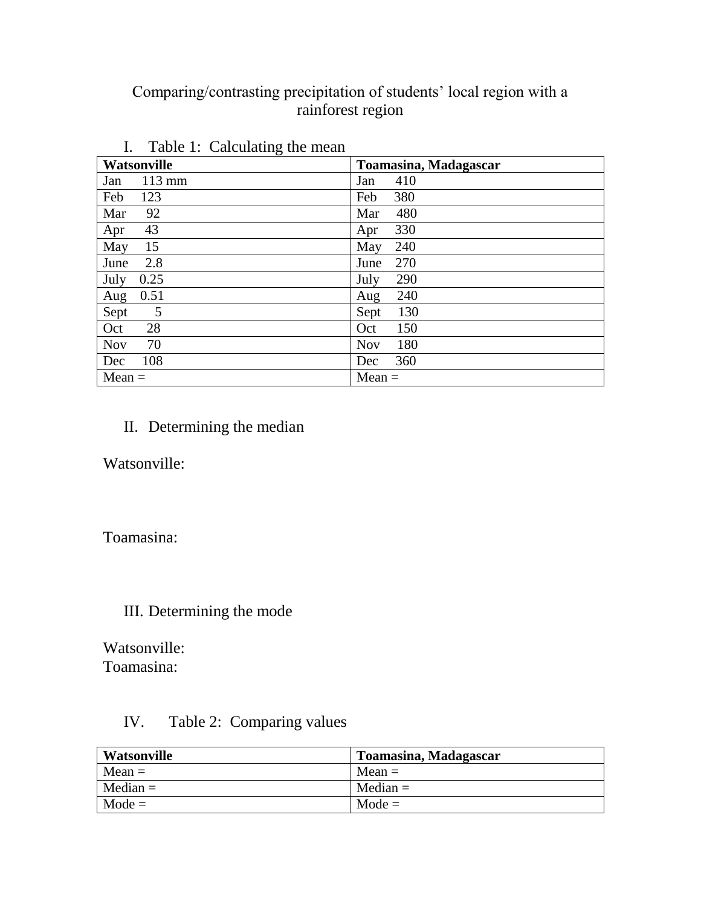# Comparing/contrasting precipitation of students' local region with a rainforest region

| Watsonville | <b>Toamasina, Madagascar</b> |
|-------------|------------------------------|
| $113$ mm    | 410                          |
| Jan         | Jan                          |
| Feb         | 380                          |
| 123         | Feb                          |
| Mar         | 480                          |
| 92          | Mar                          |
| 43          | 330                          |
| Apr         | Apr                          |
| 15          | 240                          |
| May         | May                          |
| 2.8         | 270                          |
| June        | June                         |
| 0.25        | 290                          |
| July        | July                         |
| 0.51        | 240                          |
| Aug         | Aug                          |
| 5           | 130                          |
| Sept        | Sept                         |
| 28          | 150                          |
| Oct         | Oct                          |
| 70          | 180                          |
| <b>Nov</b>  | <b>Nov</b>                   |
| 108         | 360                          |
| Dec         | Dec                          |
| $Mean =$    | $Mean =$                     |

I. Table 1: Calculating the mean

## II. Determining the median

Watsonville:

Toamasina:

### III. Determining the mode

Watsonville: Toamasina:

### IV. Table 2: Comparing values

| Watsonville | Toamasina, Madagascar |
|-------------|-----------------------|
| $Mean =$    | $Mean =$              |
| $Median =$  | $Median =$            |
| $Mode =$    | $Mode =$              |